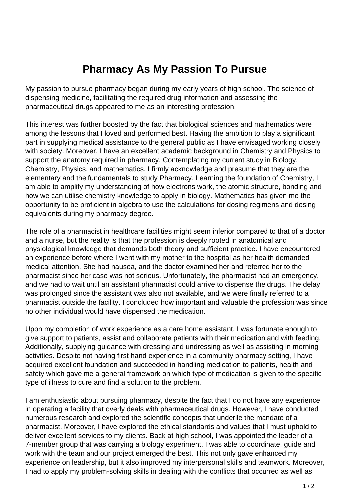## **Pharmacy As My Passion To Pursue**

My passion to pursue pharmacy began during my early years of high school. The science of dispensing medicine, facilitating the required drug information and assessing the pharmaceutical drugs appeared to me as an interesting profession.

This interest was further boosted by the fact that biological sciences and mathematics were among the lessons that I loved and performed best. Having the ambition to play a significant part in supplying medical assistance to the general public as I have envisaged working closely with society. Moreover, I have an excellent academic background in Chemistry and Physics to support the anatomy required in pharmacy. Contemplating my current study in Biology, Chemistry, Physics, and mathematics. I firmly acknowledge and presume that they are the elementary and the fundamentals to study Pharmacy. Learning the foundation of Chemistry, I am able to amplify my understanding of how electrons work, the atomic structure, bonding and how we can utilise chemistry knowledge to apply in biology. Mathematics has given me the opportunity to be proficient in algebra to use the calculations for dosing regimens and dosing equivalents during my pharmacy degree.

The role of a pharmacist in healthcare facilities might seem inferior compared to that of a doctor and a nurse, but the reality is that the profession is deeply rooted in anatomical and physiological knowledge that demands both theory and sufficient practice. I have encountered an experience before where I went with my mother to the hospital as her health demanded medical attention. She had nausea, and the doctor examined her and referred her to the pharmacist since her case was not serious. Unfortunately, the pharmacist had an emergency, and we had to wait until an assistant pharmacist could arrive to dispense the drugs. The delay was prolonged since the assistant was also not available, and we were finally referred to a pharmacist outside the facility. I concluded how important and valuable the profession was since no other individual would have dispensed the medication.

Upon my completion of work experience as a care home assistant, I was fortunate enough to give support to patients, assist and collaborate patients with their medication and with feeding. Additionally, supplying guidance with dressing and undressing as well as assisting in morning activities. Despite not having first hand experience in a community pharmacy setting, I have acquired excellent foundation and succeeded in handling medication to patients, health and safety which gave me a general framework on which type of medication is given to the specific type of illness to cure and find a solution to the problem.

I am enthusiastic about pursuing pharmacy, despite the fact that I do not have any experience in operating a facility that overly deals with pharmaceutical drugs. However, I have conducted numerous research and explored the scientific concepts that underlie the mandate of a pharmacist. Moreover, I have explored the ethical standards and values that I must uphold to deliver excellent services to my clients. Back at high school, I was appointed the leader of a 7-member group that was carrying a biology experiment. I was able to coordinate, guide and work with the team and our project emerged the best. This not only gave enhanced my experience on leadership, but it also improved my interpersonal skills and teamwork. Moreover, I had to apply my problem-solving skills in dealing with the conflicts that occurred as well as